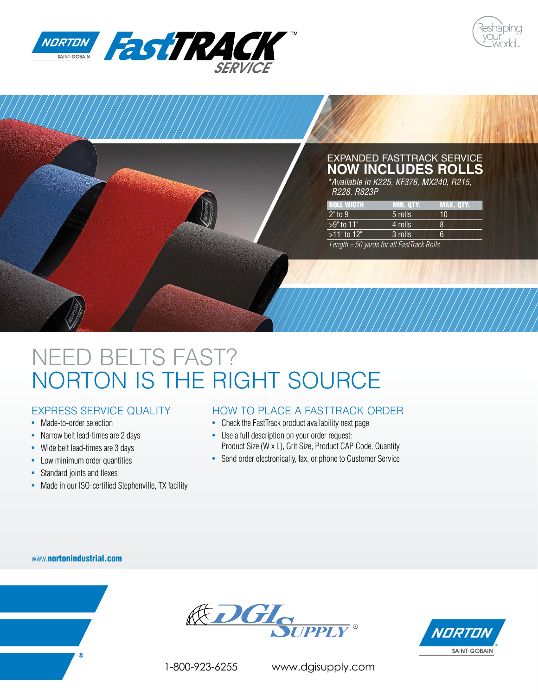





# NEED BELTS FAST? NORTON IS THE RIGHT SOURCE

## EXPRESS SERVICE QUALITY

- Made-to-order selection
- Narrow belt lead-times are 2 days
- Wide belt lead-times are 3 days
- Low minimum order quantities
- Standard joints and flexes
- Made in our ISO-certified Stephenville, TX facility

## HOW TO PLACE A FASTTRACK ORDER

- Check the FastTrack product availability next page
- Use a full description on your order request: Product Size (W x L), Grit Size, Product CAP Code, Quantity
- Send order electronically, fax, or phone to Customer Service

#### www.nortonindustrial.com







1-800-923-6255 www.dgisupply.com